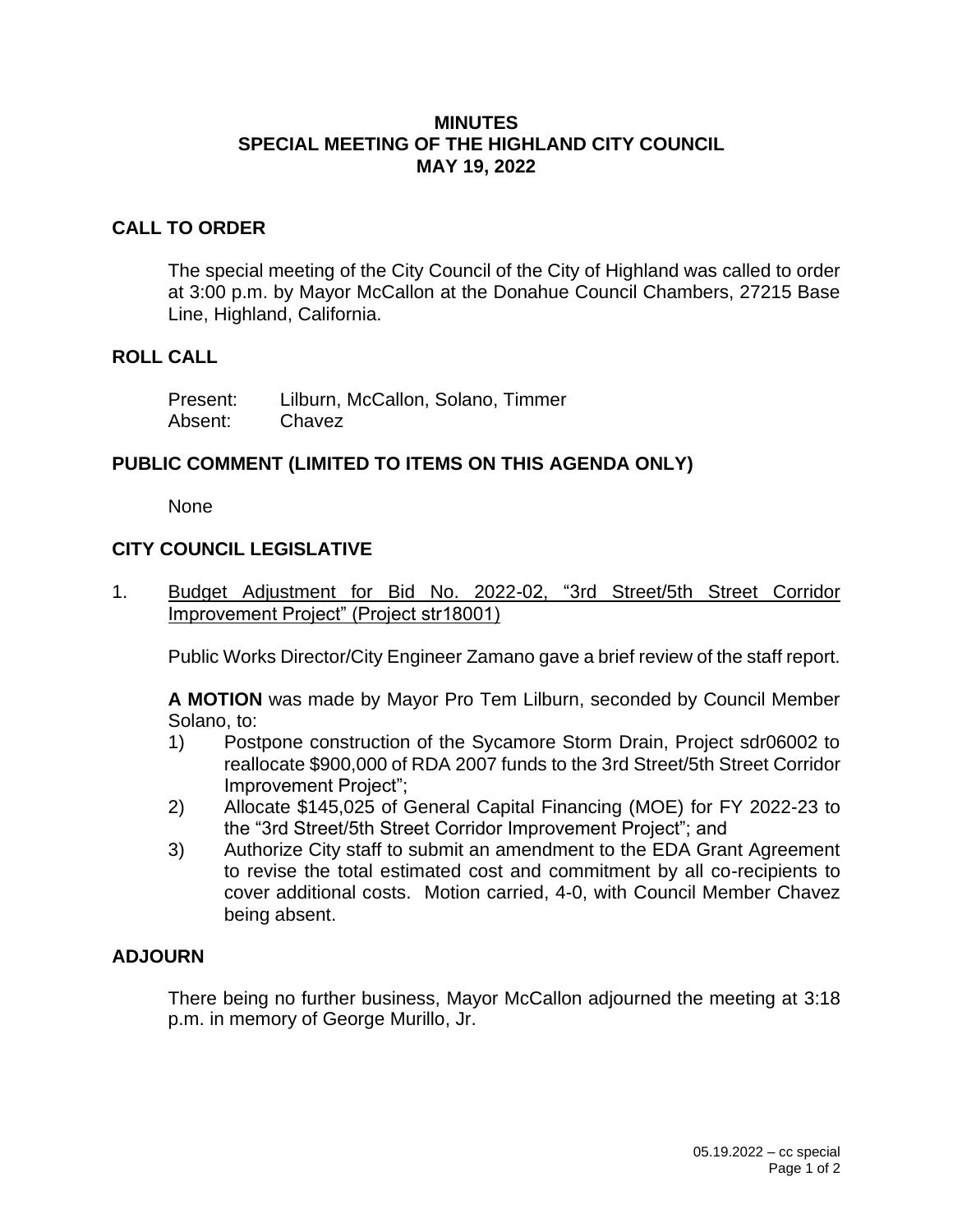## **MINUTES SPECIAL MEETING OF THE HIGHLAND CITY COUNCIL MAY 19, 2022**

# **CALL TO ORDER**

The special meeting of the City Council of the City of Highland was called to order at 3:00 p.m. by Mayor McCallon at the Donahue Council Chambers, 27215 Base Line, Highland, California.

#### **ROLL CALL**

| Present: | Lilburn, McCallon, Solano, Timmer |
|----------|-----------------------------------|
| Absent:  | Chavez                            |

## **PUBLIC COMMENT (LIMITED TO ITEMS ON THIS AGENDA ONLY)**

None

# **CITY COUNCIL LEGISLATIVE**

1. Budget Adjustment for Bid No. 2022-02, "3rd Street/5th Street Corridor Improvement Project" (Project str18001)

Public Works Director/City Engineer Zamano gave a brief review of the staff report.

**A MOTION** was made by Mayor Pro Tem Lilburn, seconded by Council Member Solano, to:

- 1) Postpone construction of the Sycamore Storm Drain, Project sdr06002 to reallocate \$900,000 of RDA 2007 funds to the 3rd Street/5th Street Corridor Improvement Project";
- 2) Allocate \$145,025 of General Capital Financing (MOE) for FY 2022-23 to the "3rd Street/5th Street Corridor Improvement Project"; and
- 3) Authorize City staff to submit an amendment to the EDA Grant Agreement to revise the total estimated cost and commitment by all co-recipients to cover additional costs. Motion carried, 4-0, with Council Member Chavez being absent.

## **ADJOURN**

There being no further business, Mayor McCallon adjourned the meeting at 3:18 p.m. in memory of George Murillo, Jr.